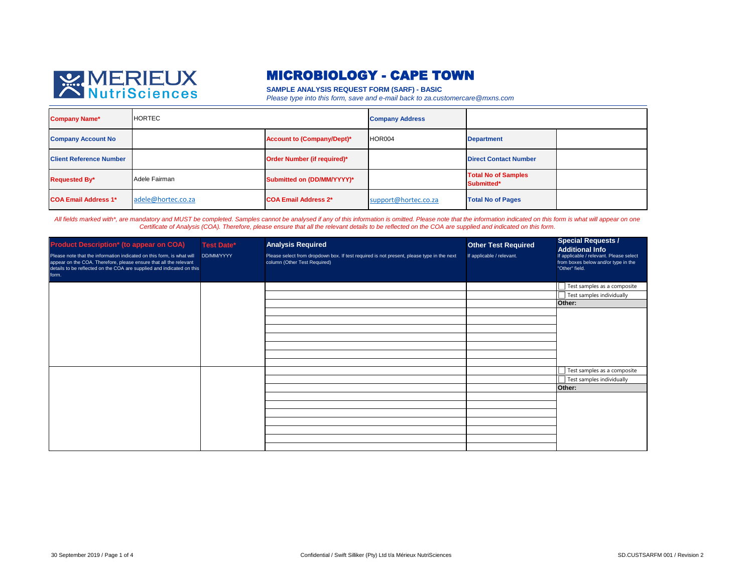

## MICROBIOLOGY - CAPE TOWN

**SAMPLE ANALYSIS REQUEST FORM (SARF) - BASIC**

*Please type into this form, save and e-mail back to za.customercare@mxns.com*

| <b>Company Name*</b>           | <b>HORTEC</b>      |                             | <b>Company Address</b> |                                          |  |
|--------------------------------|--------------------|-----------------------------|------------------------|------------------------------------------|--|
| <b>Company Account No</b>      |                    | Account to (Company/Dept)*  | HOR004                 | <b>Department</b>                        |  |
| <b>Client Reference Number</b> |                    | Order Number (if required)* |                        | <b>Direct Contact Number</b>             |  |
| <b>Requested By*</b>           | Adele Fairman      | Submitted on (DD/MM/YYYY)*  |                        | <b>Total No of Samples</b><br>Submitted* |  |
| <b>COA Email Address 1*</b>    | adele@hortec.co.za | <b>COA Email Address 2*</b> | support@hortec.co.za   | <b>Total No of Pages</b>                 |  |

*All fields marked with\*, are mandatory and MUST be completed. Samples cannot be analysed if any of this information is omitted. Please note that the information indicated on this form is what will appear on one Certificate of Analysis (COA). Therefore, please ensure that all the relevant details to be reflected on the COA are supplied and indicated on this form.*

| <b>Product Description* (to appear on COA)</b><br>Please note that the information indicated on this form, is what will<br>appear on the COA. Therefore, please ensure that all the relevant<br>details to be reflected on the COA are supplied and indicated on this<br>form. | <b>Test Date*</b><br>DD/MM/YYYY | <b>Analysis Required</b><br>Please select from dropdown box. If test required is not present, please type in the next<br>column (Other Test Required) | <b>Other Test Required</b><br>If applicable / relevant. | <b>Special Requests /</b><br><b>Additional Info</b><br>If applicable / relevant. Please select<br>from boxes below and/or type in the<br>"Other" field. |
|--------------------------------------------------------------------------------------------------------------------------------------------------------------------------------------------------------------------------------------------------------------------------------|---------------------------------|-------------------------------------------------------------------------------------------------------------------------------------------------------|---------------------------------------------------------|---------------------------------------------------------------------------------------------------------------------------------------------------------|
|                                                                                                                                                                                                                                                                                |                                 |                                                                                                                                                       |                                                         | Test samples as a composite<br>Test samples individually<br>Other:                                                                                      |
|                                                                                                                                                                                                                                                                                |                                 |                                                                                                                                                       |                                                         |                                                                                                                                                         |
|                                                                                                                                                                                                                                                                                |                                 |                                                                                                                                                       |                                                         |                                                                                                                                                         |
|                                                                                                                                                                                                                                                                                |                                 |                                                                                                                                                       |                                                         |                                                                                                                                                         |
|                                                                                                                                                                                                                                                                                |                                 |                                                                                                                                                       |                                                         | Test samples as a composite<br>Test samples individually                                                                                                |
|                                                                                                                                                                                                                                                                                |                                 |                                                                                                                                                       |                                                         | Other:                                                                                                                                                  |
|                                                                                                                                                                                                                                                                                |                                 |                                                                                                                                                       |                                                         |                                                                                                                                                         |
|                                                                                                                                                                                                                                                                                |                                 |                                                                                                                                                       |                                                         |                                                                                                                                                         |
|                                                                                                                                                                                                                                                                                |                                 |                                                                                                                                                       |                                                         |                                                                                                                                                         |
|                                                                                                                                                                                                                                                                                |                                 |                                                                                                                                                       |                                                         |                                                                                                                                                         |
|                                                                                                                                                                                                                                                                                |                                 |                                                                                                                                                       |                                                         |                                                                                                                                                         |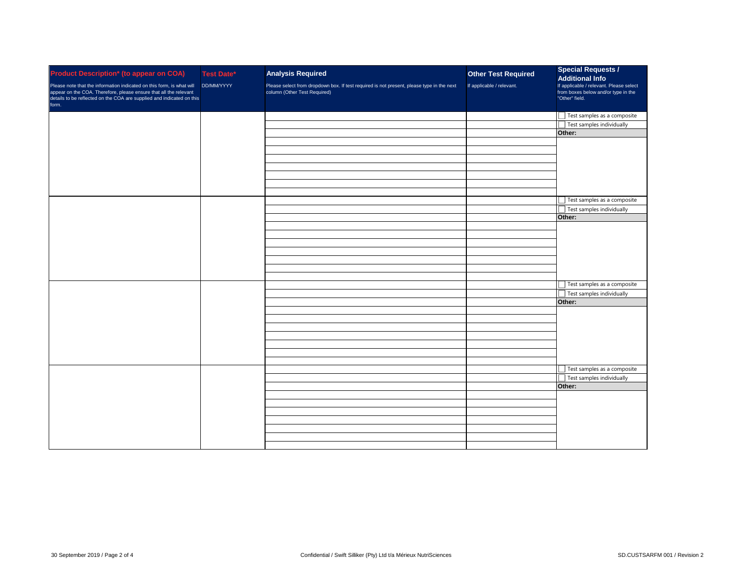| <b>Product Description* (to appear on COA)</b><br>Please note that the information indicated on this form, is what will<br>appear on the COA. Therefore, please ensure that all the relevant<br>details to be reflected on the COA are supplied and indicated on this<br>form. | <b>Test Date*</b><br>DD/MM/YYYY | <b>Analysis Required</b><br>Please select from dropdown box. If test required is not present, please type in the next column (Other Test Required) | <b>Other Test Required</b><br>If applicable / relevant. | <b>Special Requests /</b><br><b>Additional Info</b><br>If applicable / relevant. Please select<br>from boxes below and/or type in the<br>"Other" field. |
|--------------------------------------------------------------------------------------------------------------------------------------------------------------------------------------------------------------------------------------------------------------------------------|---------------------------------|----------------------------------------------------------------------------------------------------------------------------------------------------|---------------------------------------------------------|---------------------------------------------------------------------------------------------------------------------------------------------------------|
|                                                                                                                                                                                                                                                                                |                                 |                                                                                                                                                    |                                                         | Test samples as a composite                                                                                                                             |
|                                                                                                                                                                                                                                                                                |                                 |                                                                                                                                                    |                                                         | Test samples individually<br>Other:                                                                                                                     |
|                                                                                                                                                                                                                                                                                |                                 |                                                                                                                                                    |                                                         |                                                                                                                                                         |
|                                                                                                                                                                                                                                                                                |                                 |                                                                                                                                                    |                                                         |                                                                                                                                                         |
|                                                                                                                                                                                                                                                                                |                                 |                                                                                                                                                    |                                                         |                                                                                                                                                         |
|                                                                                                                                                                                                                                                                                |                                 |                                                                                                                                                    |                                                         |                                                                                                                                                         |
|                                                                                                                                                                                                                                                                                |                                 |                                                                                                                                                    |                                                         |                                                                                                                                                         |
|                                                                                                                                                                                                                                                                                |                                 |                                                                                                                                                    |                                                         |                                                                                                                                                         |
|                                                                                                                                                                                                                                                                                |                                 |                                                                                                                                                    |                                                         |                                                                                                                                                         |
|                                                                                                                                                                                                                                                                                |                                 |                                                                                                                                                    |                                                         | Test samples as a composite                                                                                                                             |
|                                                                                                                                                                                                                                                                                |                                 |                                                                                                                                                    |                                                         | Test samples individually                                                                                                                               |
|                                                                                                                                                                                                                                                                                |                                 |                                                                                                                                                    |                                                         | Other:                                                                                                                                                  |
|                                                                                                                                                                                                                                                                                |                                 |                                                                                                                                                    |                                                         |                                                                                                                                                         |
|                                                                                                                                                                                                                                                                                |                                 |                                                                                                                                                    |                                                         |                                                                                                                                                         |
|                                                                                                                                                                                                                                                                                |                                 |                                                                                                                                                    |                                                         |                                                                                                                                                         |
|                                                                                                                                                                                                                                                                                |                                 |                                                                                                                                                    |                                                         |                                                                                                                                                         |
|                                                                                                                                                                                                                                                                                |                                 |                                                                                                                                                    |                                                         |                                                                                                                                                         |
|                                                                                                                                                                                                                                                                                |                                 |                                                                                                                                                    |                                                         |                                                                                                                                                         |
|                                                                                                                                                                                                                                                                                |                                 |                                                                                                                                                    |                                                         |                                                                                                                                                         |
|                                                                                                                                                                                                                                                                                |                                 |                                                                                                                                                    |                                                         | Test samples as a composite                                                                                                                             |
|                                                                                                                                                                                                                                                                                |                                 |                                                                                                                                                    |                                                         | Test samples individually                                                                                                                               |
|                                                                                                                                                                                                                                                                                |                                 |                                                                                                                                                    |                                                         | Other:                                                                                                                                                  |
|                                                                                                                                                                                                                                                                                |                                 |                                                                                                                                                    |                                                         |                                                                                                                                                         |
|                                                                                                                                                                                                                                                                                |                                 |                                                                                                                                                    |                                                         |                                                                                                                                                         |
|                                                                                                                                                                                                                                                                                |                                 |                                                                                                                                                    |                                                         |                                                                                                                                                         |
|                                                                                                                                                                                                                                                                                |                                 |                                                                                                                                                    |                                                         |                                                                                                                                                         |
|                                                                                                                                                                                                                                                                                |                                 |                                                                                                                                                    |                                                         |                                                                                                                                                         |
|                                                                                                                                                                                                                                                                                |                                 |                                                                                                                                                    |                                                         |                                                                                                                                                         |
|                                                                                                                                                                                                                                                                                |                                 |                                                                                                                                                    |                                                         | Test samples as a composite                                                                                                                             |
|                                                                                                                                                                                                                                                                                |                                 |                                                                                                                                                    |                                                         |                                                                                                                                                         |
|                                                                                                                                                                                                                                                                                |                                 |                                                                                                                                                    |                                                         | Test samples individually<br>Other:                                                                                                                     |
|                                                                                                                                                                                                                                                                                |                                 |                                                                                                                                                    |                                                         |                                                                                                                                                         |
|                                                                                                                                                                                                                                                                                |                                 |                                                                                                                                                    |                                                         |                                                                                                                                                         |
|                                                                                                                                                                                                                                                                                |                                 |                                                                                                                                                    |                                                         |                                                                                                                                                         |
|                                                                                                                                                                                                                                                                                |                                 |                                                                                                                                                    |                                                         |                                                                                                                                                         |
|                                                                                                                                                                                                                                                                                |                                 |                                                                                                                                                    |                                                         |                                                                                                                                                         |
|                                                                                                                                                                                                                                                                                |                                 |                                                                                                                                                    |                                                         |                                                                                                                                                         |
|                                                                                                                                                                                                                                                                                |                                 |                                                                                                                                                    |                                                         |                                                                                                                                                         |
|                                                                                                                                                                                                                                                                                |                                 |                                                                                                                                                    |                                                         |                                                                                                                                                         |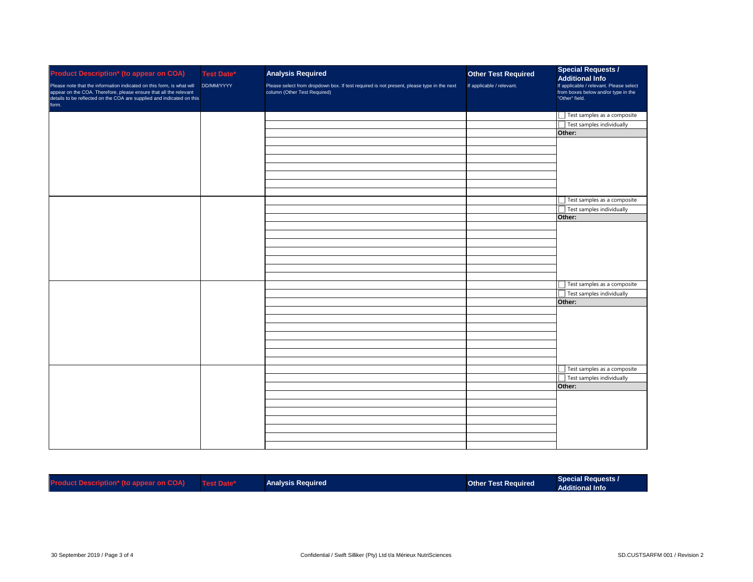| <b>Product Description* (to appear on COA)</b><br>Please note that the information indicated on this form, is what will<br>appear on the COA. Therefore, please ensure that all the relevant<br>details to be reflected on the COA are supplied and indicated on this<br>form. | <b>Test Date*</b><br>DD/MM/YYYY | <b>Analysis Required</b><br>Please select from dropdown box. If test required is not present, please type in the next<br>column (Other Test Required) | <b>Other Test Required</b><br>If applicable / relevant. | <b>Special Requests /</b><br><b>Additional Info</b><br>If applicable / relevant. Please select<br>from boxes below and/or type in the<br>"Other" field. |
|--------------------------------------------------------------------------------------------------------------------------------------------------------------------------------------------------------------------------------------------------------------------------------|---------------------------------|-------------------------------------------------------------------------------------------------------------------------------------------------------|---------------------------------------------------------|---------------------------------------------------------------------------------------------------------------------------------------------------------|
|                                                                                                                                                                                                                                                                                |                                 |                                                                                                                                                       |                                                         | Test samples as a composite                                                                                                                             |
|                                                                                                                                                                                                                                                                                |                                 |                                                                                                                                                       |                                                         | Test samples individually                                                                                                                               |
|                                                                                                                                                                                                                                                                                |                                 |                                                                                                                                                       |                                                         | Other:                                                                                                                                                  |
|                                                                                                                                                                                                                                                                                |                                 |                                                                                                                                                       |                                                         |                                                                                                                                                         |
|                                                                                                                                                                                                                                                                                |                                 |                                                                                                                                                       |                                                         |                                                                                                                                                         |
|                                                                                                                                                                                                                                                                                |                                 |                                                                                                                                                       |                                                         |                                                                                                                                                         |
|                                                                                                                                                                                                                                                                                |                                 |                                                                                                                                                       |                                                         |                                                                                                                                                         |
|                                                                                                                                                                                                                                                                                |                                 |                                                                                                                                                       |                                                         |                                                                                                                                                         |
|                                                                                                                                                                                                                                                                                |                                 |                                                                                                                                                       |                                                         |                                                                                                                                                         |
|                                                                                                                                                                                                                                                                                |                                 |                                                                                                                                                       |                                                         | Test samples as a composite                                                                                                                             |
|                                                                                                                                                                                                                                                                                |                                 |                                                                                                                                                       |                                                         | Test samples individually                                                                                                                               |
|                                                                                                                                                                                                                                                                                |                                 |                                                                                                                                                       |                                                         | Other:                                                                                                                                                  |
|                                                                                                                                                                                                                                                                                |                                 |                                                                                                                                                       |                                                         |                                                                                                                                                         |
|                                                                                                                                                                                                                                                                                |                                 |                                                                                                                                                       |                                                         |                                                                                                                                                         |
|                                                                                                                                                                                                                                                                                |                                 |                                                                                                                                                       |                                                         |                                                                                                                                                         |
|                                                                                                                                                                                                                                                                                |                                 |                                                                                                                                                       |                                                         |                                                                                                                                                         |
|                                                                                                                                                                                                                                                                                |                                 |                                                                                                                                                       |                                                         |                                                                                                                                                         |
|                                                                                                                                                                                                                                                                                |                                 |                                                                                                                                                       |                                                         |                                                                                                                                                         |
|                                                                                                                                                                                                                                                                                |                                 |                                                                                                                                                       |                                                         |                                                                                                                                                         |
|                                                                                                                                                                                                                                                                                |                                 |                                                                                                                                                       |                                                         | Test samples as a composite                                                                                                                             |
|                                                                                                                                                                                                                                                                                |                                 |                                                                                                                                                       |                                                         | Test samples individually                                                                                                                               |
|                                                                                                                                                                                                                                                                                |                                 |                                                                                                                                                       |                                                         | Other:                                                                                                                                                  |
|                                                                                                                                                                                                                                                                                |                                 |                                                                                                                                                       |                                                         |                                                                                                                                                         |
|                                                                                                                                                                                                                                                                                |                                 |                                                                                                                                                       |                                                         |                                                                                                                                                         |
|                                                                                                                                                                                                                                                                                |                                 |                                                                                                                                                       |                                                         |                                                                                                                                                         |
|                                                                                                                                                                                                                                                                                |                                 |                                                                                                                                                       |                                                         |                                                                                                                                                         |
|                                                                                                                                                                                                                                                                                |                                 |                                                                                                                                                       |                                                         |                                                                                                                                                         |
|                                                                                                                                                                                                                                                                                |                                 |                                                                                                                                                       |                                                         |                                                                                                                                                         |
|                                                                                                                                                                                                                                                                                |                                 |                                                                                                                                                       |                                                         |                                                                                                                                                         |
|                                                                                                                                                                                                                                                                                |                                 |                                                                                                                                                       |                                                         | Test samples as a composite                                                                                                                             |
|                                                                                                                                                                                                                                                                                |                                 |                                                                                                                                                       |                                                         | Test samples individually                                                                                                                               |
|                                                                                                                                                                                                                                                                                |                                 |                                                                                                                                                       |                                                         | Other:                                                                                                                                                  |
|                                                                                                                                                                                                                                                                                |                                 |                                                                                                                                                       |                                                         |                                                                                                                                                         |
|                                                                                                                                                                                                                                                                                |                                 |                                                                                                                                                       |                                                         |                                                                                                                                                         |
|                                                                                                                                                                                                                                                                                |                                 |                                                                                                                                                       |                                                         |                                                                                                                                                         |
|                                                                                                                                                                                                                                                                                |                                 |                                                                                                                                                       |                                                         |                                                                                                                                                         |
|                                                                                                                                                                                                                                                                                |                                 |                                                                                                                                                       |                                                         |                                                                                                                                                         |
|                                                                                                                                                                                                                                                                                |                                 |                                                                                                                                                       |                                                         |                                                                                                                                                         |
|                                                                                                                                                                                                                                                                                |                                 |                                                                                                                                                       |                                                         |                                                                                                                                                         |

| <b>Product Description* (to appear on COA)</b> | Test Date* | <b>Analysis Required</b> | Other Test Required | <b>Special Requests /</b><br>Additional Info |
|------------------------------------------------|------------|--------------------------|---------------------|----------------------------------------------|
|                                                |            |                          |                     |                                              |